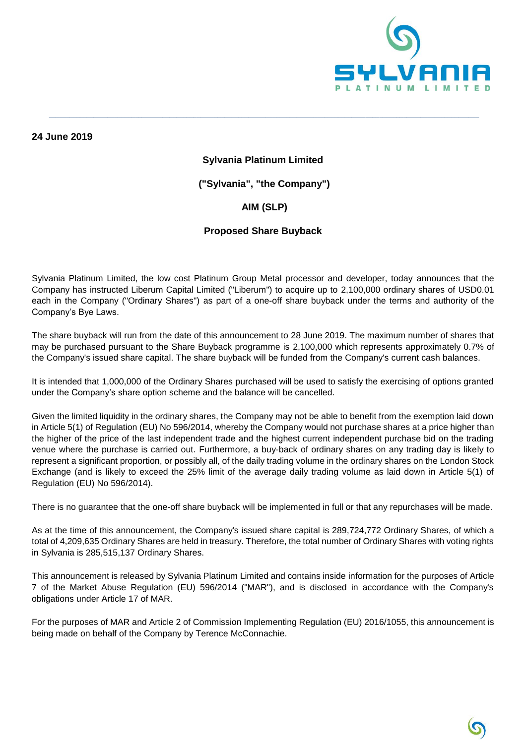

**24 June 2019**

#### **Sylvania Platinum Limited**

**\_\_\_\_\_\_\_\_\_\_\_\_\_\_\_\_\_\_\_\_\_\_\_\_\_\_\_\_\_\_\_\_\_\_\_\_\_\_\_\_\_\_\_\_\_\_\_\_\_\_\_\_\_\_\_\_\_\_\_\_\_\_\_\_\_\_\_\_\_\_\_\_\_\_\_\_\_\_\_\_\_\_\_\_\_\_\_\_\_\_\_\_\_\_\_\_\_\_\_\_\_\_\_\_\_\_\_\_\_\_\_\_\_\_\_\_\_\_\_\_\_\_\_\_\_**

**("Sylvania", "the Company")**

# **AIM (SLP)**

### **Proposed Share Buyback**

Sylvania Platinum Limited, the low cost Platinum Group Metal processor and developer, today announces that the Company has instructed Liberum Capital Limited ("Liberum") to acquire up to 2,100,000 ordinary shares of USD0.01 each in the Company ("Ordinary Shares") as part of a one-off share buyback under the terms and authority of the Company's Bye Laws.

The share buyback will run from the date of this announcement to 28 June 2019. The maximum number of shares that may be purchased pursuant to the Share Buyback programme is 2,100,000 which represents approximately 0.7% of the Company's issued share capital. The share buyback will be funded from the Company's current cash balances.

It is intended that 1,000,000 of the Ordinary Shares purchased will be used to satisfy the exercising of options granted under the Company's share option scheme and the balance will be cancelled.

Given the limited liquidity in the ordinary shares, the Company may not be able to benefit from the exemption laid down in Article 5(1) of Regulation (EU) No 596/2014, whereby the Company would not purchase shares at a price higher than the higher of the price of the last independent trade and the highest current independent purchase bid on the trading venue where the purchase is carried out. Furthermore, a buy-back of ordinary shares on any trading day is likely to represent a significant proportion, or possibly all, of the daily trading volume in the ordinary shares on the London Stock Exchange (and is likely to exceed the 25% limit of the average daily trading volume as laid down in Article 5(1) of Regulation (EU) No 596/2014).

There is no guarantee that the one-off share buyback will be implemented in full or that any repurchases will be made.

As at the time of this announcement, the Company's issued share capital is 289,724,772 Ordinary Shares, of which a total of 4,209,635 Ordinary Shares are held in treasury. Therefore, the total number of Ordinary Shares with voting rights in Sylvania is 285,515,137 Ordinary Shares.

This announcement is released by Sylvania Platinum Limited and contains inside information for the purposes of Article 7 of the Market Abuse Regulation (EU) 596/2014 ("MAR"), and is disclosed in accordance with the Company's obligations under Article 17 of MAR.

For the purposes of MAR and Article 2 of Commission Implementing Regulation (EU) 2016/1055, this announcement is being made on behalf of the Company by Terence McConnachie.